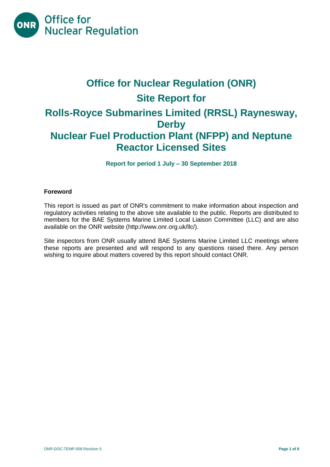

# **Office for Nuclear Regulation (ONR) Site Report for Rolls-Royce Submarines Limited (RRSL) Raynesway, Derby Nuclear Fuel Production Plant (NFPP) and Neptune Reactor Licensed Sites**

**Report for period 1 July – 30 September 2018**

# **Foreword**

This report is issued as part of ONR's commitment to make information about inspection and regulatory activities relating to the above site available to the public. Reports are distributed to members for the BAE Systems Marine Limited Local Liaison Committee (LLC) and are also available on the ONR website [\(http://www.onr.org.uk/llc/\)](http://www.onr.org.uk/llc/).

Site inspectors from ONR usually attend BAE Systems Marine Limited LLC meetings where these reports are presented and will respond to any questions raised there. Any person wishing to inquire about matters covered by this report should contact ONR.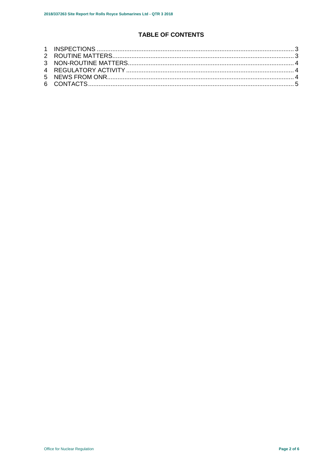# **TABLE OF CONTENTS**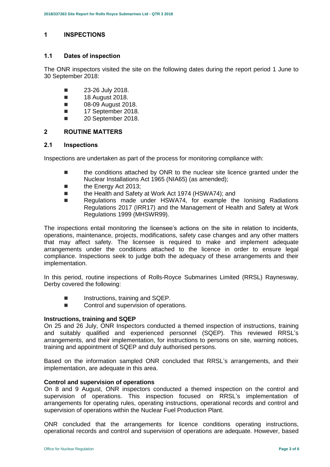# <span id="page-2-0"></span>**1 INSPECTIONS**

#### **1.1 Dates of inspection**

The ONR inspectors visited the site on the following dates during the report period 1 June to 30 September 2018:

- $\blacksquare$  23-26 July 2018.
- **18 August 2018.**
- **08-09 August 2018.**
- **17 September 2018.**
- 20 September 2018.

# <span id="page-2-1"></span>**2 ROUTINE MATTERS**

#### **2.1 Inspections**

Inspections are undertaken as part of the process for monitoring compliance with:

- **the conditions attached by ONR to the nuclear site licence granted under the** Nuclear Installations Act 1965 (NIA65) (as amended);
- **the Energy Act 2013:**
- the Health and Safety at Work Act 1974 (HSWA74); and
- Regulations made under HSWA74, for example the Ionising Radiations Regulations 2017 (IRR17) and the Management of Health and Safety at Work Regulations 1999 (MHSWR99).

The inspections entail monitoring the licensee's actions on the site in relation to incidents, operations, maintenance, projects, modifications, safety case changes and any other matters that may affect safety. The licensee is required to make and implement adequate arrangements under the conditions attached to the licence in order to ensure legal compliance. Inspections seek to judge both the adequacy of these arrangements and their implementation.

In this period, routine inspections of Rolls-Royce Submarines Limited (RRSL) Raynesway, Derby covered the following:

- Instructions, training and SQEP.
- Control and supervision of operations.

#### **Instructions, training and SQEP**

On 25 and 26 July, ONR Inspectors conducted a themed inspection of instructions, training and suitably qualified and experienced personnel (SQEP). This reviewed RRSL's arrangements, and their implementation, for instructions to persons on site, warning notices, training and appointment of SQEP and duly authorised persons.

Based on the information sampled ONR concluded that RRSL's arrangements, and their implementation, are adequate in this area.

#### **Control and supervision of operations**

On 8 and 9 August, ONR inspectors conducted a themed inspection on the control and supervision of operations. This inspection focused on RRSL's implementation of arrangements for operating rules, operating instructions, operational records and control and supervision of operations within the Nuclear Fuel Production Plant.

ONR concluded that the arrangements for licence conditions operating instructions, operational records and control and supervision of operations are adequate. However, based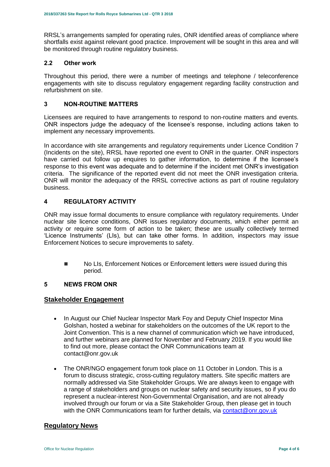RRSL's arrangements sampled for operating rules, ONR identified areas of compliance where shortfalls exist against relevant good practice. Improvement will be sought in this area and will be monitored through routine regulatory business.

#### **2.2 Other work**

Throughout this period, there were a number of meetings and telephone / teleconference engagements with site to discuss regulatory engagement regarding facility construction and refurbishment on site.

# <span id="page-3-0"></span>**3 NON-ROUTINE MATTERS**

Licensees are required to have arrangements to respond to non-routine matters and events. ONR inspectors judge the adequacy of the licensee's response, including actions taken to implement any necessary improvements.

In accordance with site arrangements and regulatory requirements under Licence Condition 7 (Incidents on the site), RRSL have reported one event to ONR in the quarter. ONR inspectors have carried out follow up enquires to gather information, to determine if the licensee's response to this event was adequate and to determine if the incident met ONR's investigation criteria. The significance of the reported event did not meet the ONR investigation criteria. ONR will monitor the adequacy of the RRSL corrective actions as part of routine regulatory business.

# <span id="page-3-1"></span>**4 REGULATORY ACTIVITY**

ONR may issue formal documents to ensure compliance with regulatory requirements. Under nuclear site licence conditions, ONR issues regulatory documents, which either permit an activity or require some form of action to be taken; these are usually collectively termed 'Licence Instruments' (LIs), but can take other forms. In addition, inspectors may issue Enforcement Notices to secure improvements to safety.

■ No LIs, Enforcement Notices or Enforcement letters were issued during this period.

#### <span id="page-3-2"></span>**5 NEWS FROM ONR**

# **Stakeholder Engagement**

- In August our Chief Nuclear Inspector Mark Foy and Deputy Chief Inspector Mina Golshan, hosted a webinar for stakeholders on the outcomes of the UK report to the Joint Convention. This is a new channel of communication which we have introduced, and further webinars are planned for November and February 2019. If you would like to find out more, please contact the ONR Communications team at contact@onr.gov.uk
- The ONR/NGO engagement forum took place on 11 October in London. This is a forum to discuss strategic, cross-cutting regulatory matters. Site specific matters are normally addressed via Site Stakeholder Groups. We are always keen to engage with a range of stakeholders and groups on nuclear safety and security issues, so if you do represent a nuclear-interest Non-Governmental Organisation, and are not already involved through our forum or via a Site Stakeholder Group, then please get in touch with the ONR Communications team for further details, via [contact@onr.gov.uk](mailto:contact@onr.gov.uk)

# **Regulatory News**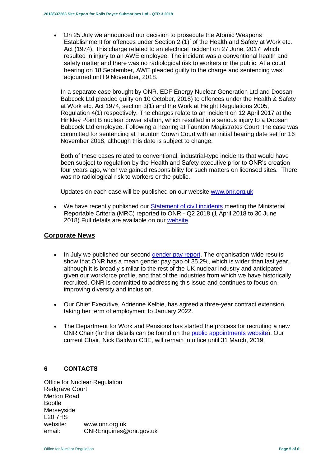On 25 July we announced our decision to prosecute the Atomic Weapons Establishment for offences under Section 2 (1)<sup>\*</sup> of the Health and Safety at Work etc. Act (1974). This charge related to an electrical incident on 27 June, 2017, which resulted in injury to an AWE employee. The incident was a conventional health and safety matter and there was no radiological risk to workers or the public. At a court hearing on 18 September, AWE pleaded guilty to the charge and sentencing was adjourned until 9 November, 2018.

In a separate case brought by ONR, EDF Energy Nuclear Generation Ltd and Doosan Babcock Ltd pleaded guilty on 10 October, 2018) to offences under the Health & Safety at Work etc. Act 1974, section 3(1) and the Work at Height Regulations 2005, Regulation 4(1) respectively. The charges relate to an incident on 12 April 2017 at the Hinkley Point B nuclear power station, which resulted in a serious injury to a Doosan Babcock Ltd employee. Following a hearing at Taunton Magistrates Court, the case was committed for sentencing at Taunton Crown Court with an initial hearing date set for 16 November 2018, although this date is subject to change.

Both of these cases related to conventional, industrial-type incidents that would have been subject to regulation by the Health and Safety executive prior to ONR's creation four years ago, when we gained responsibility for such matters on licensed sites. There was no radiological risk to workers or the public.

Updates on each case will be published on our website [www.onr.org.uk](http://www.onr.org.uk/)

• We have recently published our [Statement of civil incidents](http://www.onr.org.uk/quarterly-stat/2018-2.htm) meeting the Ministerial Reportable Criteria (MRC) reported to ONR - Q2 2018 (1 April 2018 to 30 June 2018).Full details are available on our [website.](http://www.onr.org.uk/quarterly-stat/2018-2.htm)

# **Corporate News**

- In July we published our second [gender pay report.](http://news.onr.org.uk/2018/07/onr-publishes-second-gender-pay-report/) The organisation-wide results show that ONR has a mean gender pay gap of 35.2%, which is wider than last year, although it is broadly similar to the rest of the UK nuclear industry and anticipated given our workforce profile, and that of the industries from which we have historically recruited. ONR is committed to addressing this issue and continues to focus on improving diversity and inclusion.
- Our Chief Executive, Adriènne Kelbie, has agreed a three-year contract extension, taking her term of employment to January 2022.
- The Department for Work and Pensions has started the process for recruiting a new ONR Chair (further details can be found on the [public appointments website\)](https://publicappointments.cabinetoffice.gov.uk/appointment/chair-the-office-for-nuclear-regulations/). Our current Chair, Nick Baldwin CBE, will remain in office until 31 March, 2019.

#### <span id="page-4-0"></span>**6 CONTACTS**

Office for Nuclear Regulation Redgrave Court Merton Road Bootle Merseyside L20 7HS website: [www.onr.org.uk](http://www.onr.org.uk/) email: [ONREnquiries@onr.gov.uk](mailto:ONREnquiries@onr.gsi.gov.uk)